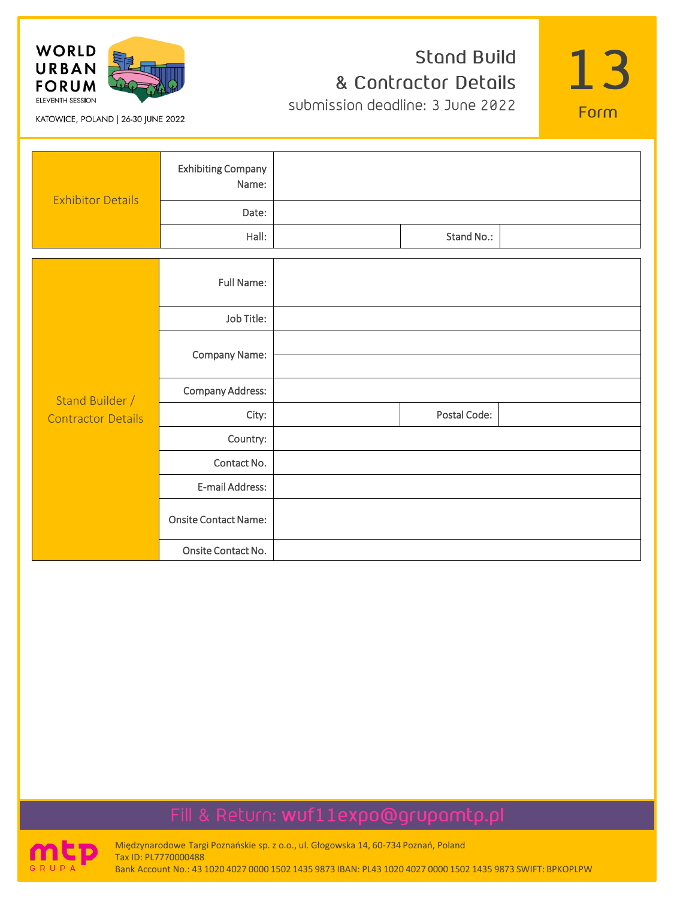

#### **Stand Build** & Contractor Details submission deadline: 3 June 2022

13

Form

KATOWICE, POLAND | 26-30 JUNE 2022

| <b>Exhibitor Details</b>  | <b>Exhibiting Company</b><br>Name: |              |  |
|---------------------------|------------------------------------|--------------|--|
|                           | Date:                              |              |  |
|                           | Hall:                              | Stand No.:   |  |
|                           |                                    |              |  |
|                           | <b>Full Name:</b>                  |              |  |
|                           | Job Title:                         |              |  |
|                           | Company Name:                      |              |  |
| Stand Builder /           | <b>Company Address:</b>            |              |  |
| <b>Contractor Details</b> | City:                              | Postal Code: |  |
|                           | Country:                           |              |  |
|                           | Contact No.                        |              |  |
|                           | E-mail Address:                    |              |  |
|                           | <b>Onsite Contact Name:</b>        |              |  |
|                           | Onsite Contact No.                 |              |  |

# Fill & Return: wuf11expo@grupamtp.pl



Międzynarodowe Targi Poznańskie sp. z o.o., ul. Głogowska 14, 60-734 Poznań, Poland Tax ID: PL7770000488 Bank Account No.: 43 1020 4027 0000 1502 1435 9873 IBAN: PL43 1020 4027 0000 1502 1435 9873 SWIFT: BPKOPLPW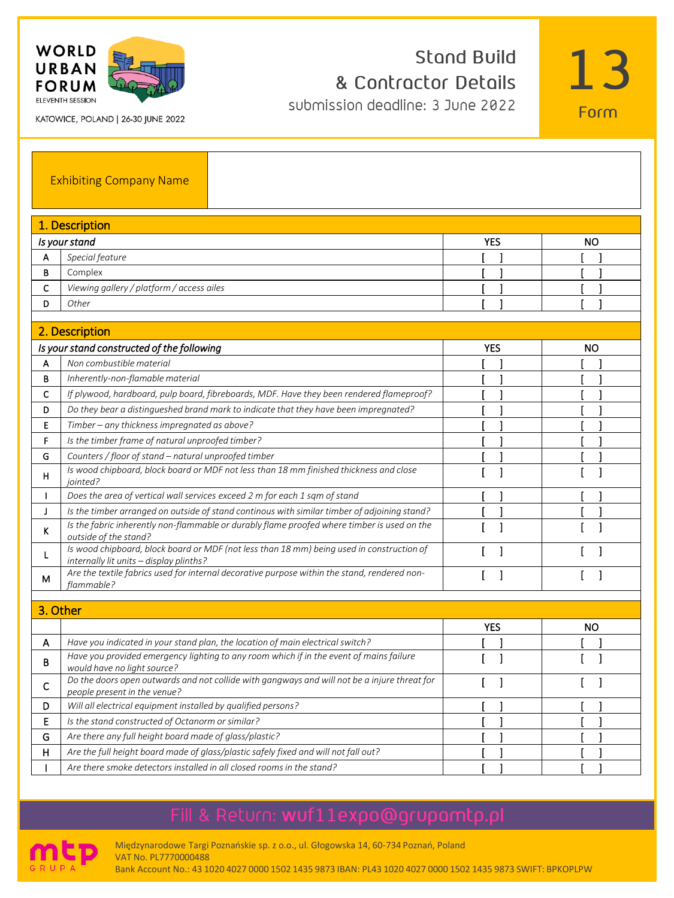

**Stand Build** & Contractor Details submission deadline: 3 June 2022



KATOWICE, POLAND | 26-30 JUNE 2022

|              | <b>Exhibiting Company Name</b>                                                                                                       |            |    |
|--------------|--------------------------------------------------------------------------------------------------------------------------------------|------------|----|
|              | 1. Description                                                                                                                       |            |    |
|              | Is your stand                                                                                                                        | <b>YES</b> | NO |
| А            | Special feature                                                                                                                      |            |    |
| В            | Complex                                                                                                                              |            |    |
| c            | Viewing gallery / platform / access ailes                                                                                            |            |    |
| D            | Other                                                                                                                                |            |    |
|              |                                                                                                                                      |            |    |
|              | 2. Description                                                                                                                       |            |    |
|              | Is your stand constructed of the following                                                                                           | <b>YES</b> | NO |
| А            | Non combustible material                                                                                                             |            |    |
| В            | Inherently-non-flamable material                                                                                                     |            |    |
| c            | If plywood, hardboard, pulp board, fibreboards, MDF. Have they been rendered flameproof?                                             |            |    |
| D            | Do they bear a distingueshed brand mark to indicate that they have been impregnated?                                                 |            |    |
| Ε            | Timber - any thickness impregnated as above?                                                                                         |            |    |
| F            | Is the timber frame of natural unproofed timber?                                                                                     |            |    |
| G            | Counters / floor of stand - natural unproofed timber                                                                                 |            |    |
| н            | Is wood chipboard, block board or MDF not less than 18 mm finished thickness and close<br>jointed?                                   | ſ<br>1     | -1 |
| $\mathbf{I}$ | Does the area of vertical wall services exceed 2 m for each 1 sqm of stand                                                           |            |    |
| J            | Is the timber arranged on outside of stand continous with similar timber of adjoining stand?                                         |            |    |
| ĸ            | Is the fabric inherently non-flammable or durably flame proofed where timber is used on the<br>outside of the stand?                 | 1          |    |
| L            | Is wood chipboard, block board or MDF (not less than 18 mm) being used in construction of<br>internally lit units - display plinths? |            |    |
| м            | Are the textile fabrics used for internal decorative purpose within the stand, rendered non-<br>flammable?                           | 1          |    |
|              |                                                                                                                                      |            |    |
| 3. Other     |                                                                                                                                      |            |    |
|              |                                                                                                                                      | <b>YES</b> | NO |
| А            | Have you indicated in your stand plan, the location of main electrical switch?                                                       |            |    |
| в            | Have you provided emergency lighting to any room which if in the event of mains failure<br>would have no light source?               | 1<br>ſ     | -1 |
| с            | Do the doors open outwards and not collide with gangways and will not be a injure threat for<br>people present in the venue?         | 1          | 1  |
| D            | Will all electrical equipment installed by qualified persons?                                                                        |            |    |
| E            | Is the stand constructed of Octanorm or similar?                                                                                     |            |    |
| G            | Are there any full height board made of glass/plastic?                                                                               | ı          |    |
| н            | Are the full height board made of glass/plastic safely fixed and will not fall out?                                                  |            |    |
| $\mathbf{I}$ | Are there smoke detectors installed in all closed rooms in the stand?                                                                |            |    |

# Fill & Return: wuf11expo@grupamtp.pl



Międzynarodowe Targi Poznańskie sp. z o.o., ul. Głogowska 14, 60-734 Poznań, Poland VAT No. PL7770000488 Bank Account No.: 43 1020 4027 0000 1502 1435 9873 IBAN: PL43 1020 4027 0000 1502 1435 9873 SWIFT: BPKOPLPW